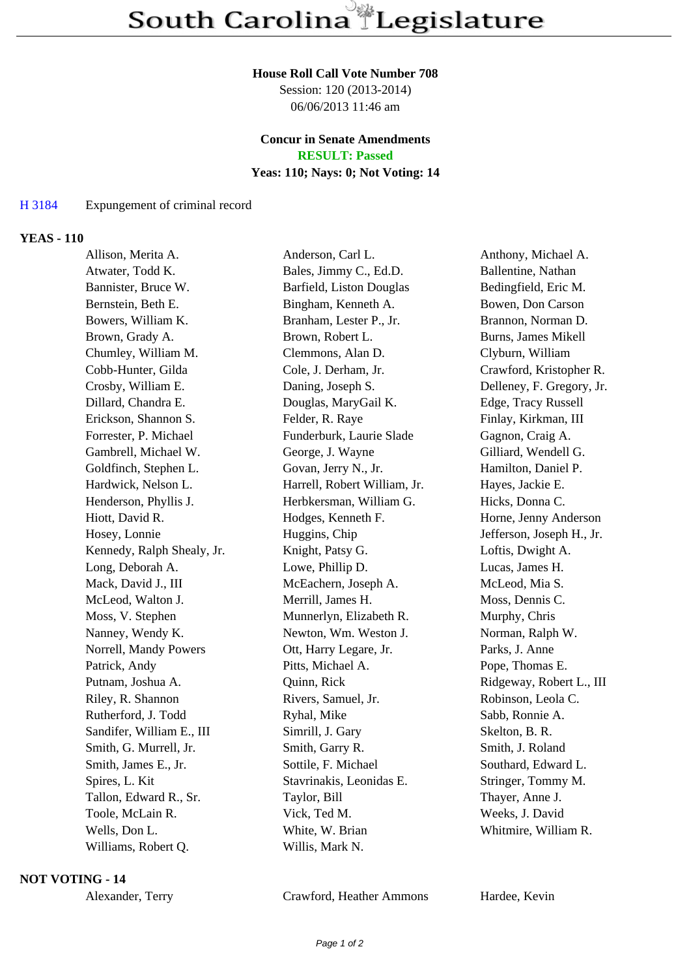#### **House Roll Call Vote Number 708**

Session: 120 (2013-2014) 06/06/2013 11:46 am

# **Concur in Senate Amendments**

**RESULT: Passed**

## **Yeas: 110; Nays: 0; Not Voting: 14**

## H 3184 Expungement of criminal record

### **YEAS - 110**

| Allison, Merita A.         | Anderson, Carl L.            | Anthony, Michael A.       |
|----------------------------|------------------------------|---------------------------|
| Atwater, Todd K.           | Bales, Jimmy C., Ed.D.       | Ballentine, Nathan        |
| Bannister, Bruce W.        | Barfield, Liston Douglas     | Bedingfield, Eric M.      |
| Bernstein, Beth E.         | Bingham, Kenneth A.          | Bowen, Don Carson         |
| Bowers, William K.         | Branham, Lester P., Jr.      | Brannon, Norman D.        |
| Brown, Grady A.            | Brown, Robert L.             | Burns, James Mikell       |
| Chumley, William M.        | Clemmons, Alan D.            | Clyburn, William          |
| Cobb-Hunter, Gilda         | Cole, J. Derham, Jr.         | Crawford, Kristopher R.   |
| Crosby, William E.         | Daning, Joseph S.            | Delleney, F. Gregory, Jr. |
| Dillard, Chandra E.        | Douglas, MaryGail K.         | Edge, Tracy Russell       |
| Erickson, Shannon S.       | Felder, R. Raye              | Finlay, Kirkman, III      |
| Forrester, P. Michael      | Funderburk, Laurie Slade     | Gagnon, Craig A.          |
| Gambrell, Michael W.       | George, J. Wayne             | Gilliard, Wendell G.      |
| Goldfinch, Stephen L.      | Govan, Jerry N., Jr.         | Hamilton, Daniel P.       |
| Hardwick, Nelson L.        | Harrell, Robert William, Jr. | Hayes, Jackie E.          |
| Henderson, Phyllis J.      | Herbkersman, William G.      | Hicks, Donna C.           |
| Hiott, David R.            | Hodges, Kenneth F.           | Horne, Jenny Anderson     |
| Hosey, Lonnie              | Huggins, Chip                | Jefferson, Joseph H., Jr. |
| Kennedy, Ralph Shealy, Jr. | Knight, Patsy G.             | Loftis, Dwight A.         |
| Long, Deborah A.           | Lowe, Phillip D.             | Lucas, James H.           |
| Mack, David J., III        | McEachern, Joseph A.         | McLeod, Mia S.            |
| McLeod, Walton J.          | Merrill, James H.            | Moss, Dennis C.           |
| Moss, V. Stephen           | Munnerlyn, Elizabeth R.      | Murphy, Chris             |
| Nanney, Wendy K.           | Newton, Wm. Weston J.        | Norman, Ralph W.          |
| Norrell, Mandy Powers      | Ott, Harry Legare, Jr.       | Parks, J. Anne            |
| Patrick, Andy              | Pitts, Michael A.            | Pope, Thomas E.           |
| Putnam, Joshua A.          | Quinn, Rick                  | Ridgeway, Robert L., III  |
| Riley, R. Shannon          | Rivers, Samuel, Jr.          | Robinson, Leola C.        |
| Rutherford, J. Todd        | Ryhal, Mike                  | Sabb, Ronnie A.           |
| Sandifer, William E., III  | Simrill, J. Gary             | Skelton, B. R.            |
| Smith, G. Murrell, Jr.     | Smith, Garry R.              | Smith, J. Roland          |
| Smith, James E., Jr.       | Sottile, F. Michael          | Southard, Edward L.       |
| Spires, L. Kit             | Stavrinakis, Leonidas E.     | Stringer, Tommy M.        |
| Tallon, Edward R., Sr.     | Taylor, Bill                 | Thayer, Anne J.           |
| Toole, McLain R.           | Vick, Ted M.                 | Weeks, J. David           |
| Wells, Don L.              | White, W. Brian              | Whitmire, William R.      |
| Williams, Robert Q.        | Willis, Mark N.              |                           |

#### **NOT VOTING - 14**

Alexander, Terry Crawford, Heather Ammons Hardee, Kevin